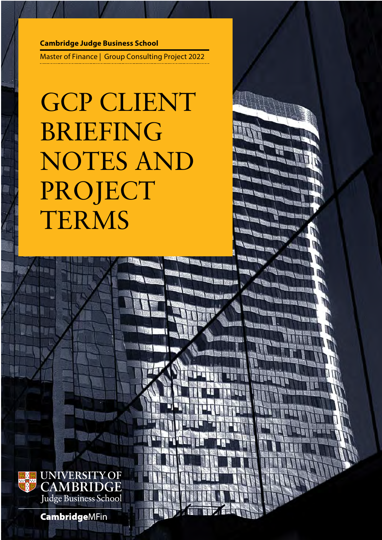# **Cambridge Judge Business School**

Master of Finance | Group Consulting Project 2022

# GCP CLIENT BRIEFING NOTES AND PROJECT TERMS



**CambridgeMFin**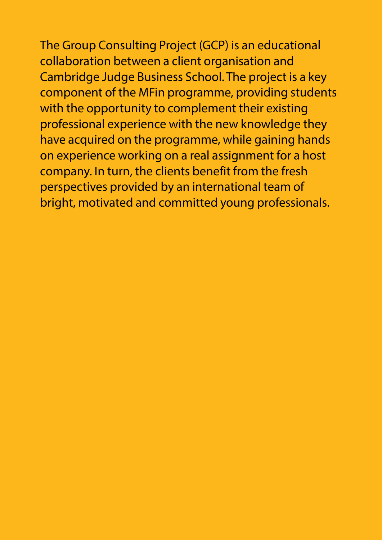The Group Consulting Project (GCP) is an educational collaboration between a client organisation and Cambridge Judge Business School. The project is a key component of the MFin programme, providing students with the opportunity to complement their existing professional experience with the new knowledge they have acquired on the programme, while gaining hands on experience working on a real assignment for a host company. In turn, the clients benefit from the fresh perspectives provided by an international team of bright, motivated and committed young professionals.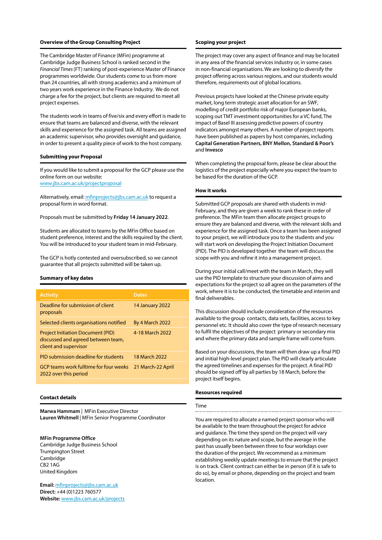## **Overview of the Group Consulting Project**

The Cambridge Master of Finance (MFin) programme at Cambridge Judge Business School is ranked second in the *Financial Times* (FT) ranking of post-experience Master of Finance programmes worldwide. Our students come to us from more than 24 countries, all with strong academics and a minimum of two years work experience in the Finance Industry. We do not charge a fee for the project, but clients are required to meet all project expenses.

The students work in teams of five/six and every effort is made to ensure that teams are balanced and diverse, with the relevant skills and experience for the assigned task. All teams are assigned an academic supervisor, who provides oversight and guidance, in order to present a quality piece of work to the host company.

# **Submitting your Proposal**

If you would like to submit a proposal for the GCP please use the online form on our website: www.[jbs.cam.ac.uk/projectproposal](https://www.jbs.cam.ac.uk/projectproposal/)

Alternatively, email: [mfinprojects@jbs.cam.ac.uk](mailto:mfinprojects%40jbs.cam.ac.uk?subject=) to request a proposal form in word format.

#### Proposals must be submitted by **Friday 14 January 2022**.

Students are allocated to teams by the MFin Office based on student preference, interest and the skills required by the client. You will be introduced to your student team in mid-February.

The GCP is hotly contested and oversubscribed, so we cannot guarantee that all projects submitted will be taken up.

# **Summary of key dates**

| <b>Activity</b>                                                                                         | <b>Dates</b>           |
|---------------------------------------------------------------------------------------------------------|------------------------|
| Deadline for submission of client<br>proposals                                                          | 14 January 2022        |
| Selected clients organisations notified                                                                 | <b>By 4 March 2022</b> |
| <b>Project Initiation Document (PID)</b><br>discussed and agreed between team,<br>client and supervisor | 4-18 March 2022        |
| PID submission deadline for students                                                                    | 18 March 2022          |
| <b>GCP teams work fulltime for four weeks</b><br>2022 over this period                                  | 21 March-22 April      |
|                                                                                                         |                        |

# **Contact details**

**Marwa Hammam** | MFin Executive Director **Lauren Whitmell** | MFin Senior Programme Coordinator

# **MFin Programme Office**

Cambridge Judge Business School Trumpington Street Cambridge CB2 1AG United Kingdom

**Email:** [mfinprojects@jbs.cam.ac.uk](mailto:mfinprojects%40jbs.cam.ac.uk?subject=) **Direct:** +44 (0)1223 760577 **Website:** [www.jbs.cam.ac.uk/projects](https://www.jbs.cam.ac.uk/projects)

#### **Scoping your project**

The project may cover any aspect of finance and may be located in any area of the financial services industry or, in some cases in non-financial organisations. We are looking to diversify the project offering across various regions, and our students would therefore, requirements out of global locations.

Previous projects have looked at the Chinese private equity market, long term strategic asset allocation for an SWF, modelling of credit portfolio risk of major European banks, scoping out TMT investment opportunities for a VC fund, The impact of Basel III assessing predictive powers of country indicators amongst many others. A number of project reports have been published as papers by host companies, including **Capital Generation Partners, BNY Mellon, Standard & Poor's** and **Invesco**

When completing the proposal form, please be clear about the logistics of the project especially where you expect the team to be based for the duration of the GCP.

## **How it works**

Submitted GCP proposals are shared with students in mid-February, and they are given a week to rank these in order of preference. The MFin team then allocate project groups to ensure they are balanced and diverse, with the relevant skills and experience for the assigned task. Once a team has been assigned to your project, we will introduce you to the students and you will start work on developing the Project Initiation Document (PID). The PID is developed together the team will discuss the scope with you and refine it into a management project.

During your initial call/meet with the team in March, they will use the PID template to structure your discussion of aims and expectations for the project so all agree on the parameters of the work, where it is to be conducted, the timetable and interim and final deliverables.

This discussion should include consideration of the resources available to the group contacts, data sets, facilities, access to key personnel etc. It should also cover the type of research necessary to fulfil the objectives of the project primary or secondary mix and where the primary data and sample frame will come from.

Based on your discussions, the team will then draw up a final PID and initial high-level project plan. The PID will clearly articulate the agreed timelines and expenses for the project. A final PID should be signed off by all parties by 18 March, before the project itself begins.

#### **Resources required**

#### Time

You are required to allocate a named project sponsor who will be available to the team throughout the project for advice and guidance. The time they spend on the project will vary depending on its nature and scope, but the average in the past has usually been between three to four workdays over the duration of the project. We recommend as a minimum establishing weekly update meetings to ensure that the project is on track. Client contract can either be in person (if it is safe to do so), by email or phone, depending on the project and team location.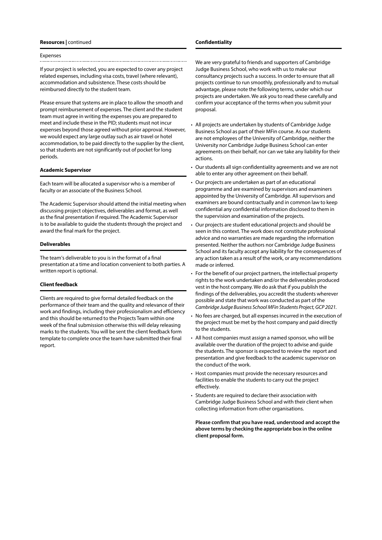#### **Resources |** continued

#### Expenses

If your project is selected, you are expected to cover any project related expenses, including visa costs, travel (where relevant), accommodation and subsistence. These costs should be reimbursed directly to the student team.

Please ensure that systems are in place to allow the smooth and prompt reimbursement of expenses. The client and the student team must agree in writing the expenses you are prepared to meet and include these in the PID; students must not incur expenses beyond those agreed without prior approval. However, we would expect any large outlay such as air travel or hotel accommodation, to be paid directly to the supplier by the client, so that students are not significantly out of pocket for long periods.

#### **Academic Supervisor**

Each team will be allocated a supervisor who is a member of faculty or an associate of the Business School.

The Academic Supervisor should attend the initial meeting when discussing project objectives, deliverables and format, as well as the final presentation if required. The Academic Supervisor is to be available to guide the students through the project and award the final mark for the project.

#### **Deliverables**

The team's deliverable to you is in the format of a final presentation at a time and location convenient to both parties. A written report is optional.

# **Client feedback**

Clients are required to give formal detailed feedback on the performance of their team and the quality and relevance of their work and findings, including their professionalism and efficiency and this should be returned to the Projects Team within one week of the final submission otherwise this will delay releasing marks to the students. You will be sent the client feedback form template to complete once the team have submitted their final report.

#### **Confidentiality**

We are very grateful to friends and supporters of Cambridge Judge Business School, who work with us to make our consultancy projects such a success. In order to ensure that all projects continue to run smoothly, professionally and to mutual advantage, please note the following terms, under which our projects are undertaken. We ask you to read these carefully and confirm your acceptance of the terms when you submit your proposal.

- All projects are undertaken by students of Cambridge Judge Business School as part of their MFin course. As our students are not employees of the University of Cambridge, neither the University nor Cambridge Judge Business School can enter agreements on their behalf, nor can we take any liability for their actions.
- Our students all sign confidentiality agreements and we are not able to enter any other agreement on their behalf.
- Our projects are undertaken as part of an educational programme and are examined by supervisors and examiners appointed by the University of Cambridge. All supervisors and examiners are bound contractually and in common law to keep confidential any confidential information disclosed to them in the supervision and examination of the projects.
- Our projects are student educational projects and should be seen in this context. The work does not constitute professional advice and no warranties are made regarding the information presented. Neither the authors nor Cambridge Judge Business School and its faculty accept any liability for the consequences of any action taken as a result of the work, or any recommendations made or inferred.
- For the benefit of our project partners, the intellectual property rights to the work undertaken and/or the deliverables produced vest in the host company. We do ask that if you publish the findings of the deliverables, you accredit the students wherever possible and state that work was conducted as part of the *Cambridge Judge Business School MFin Students Project, GCP 2021.*
- No fees are charged, but all expenses incurred in the execution of the project must be met by the host company and paid directly to the students.
- All host companies must assign a named sponsor, who will be available over the duration of the project to advise and guide the students. The sponsor is expected to review the report and presentation and give feedback to the academic supervisor on the conduct of the work.
- Host companies must provide the necessary resources and facilities to enable the students to carry out the project effectively.
- Students are required to declare their association with Cambridge Judge Business School and with their client when collecting information from other organisations.

**Please confirm that you have read, understood and accept the above terms by checking the appropriate box in the online client proposal form.**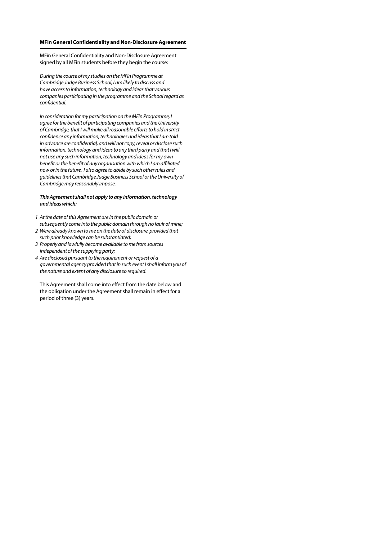# **MFin General Confidentiality and Non-Disclosure Agreement**

MFin General Confidentiality and Non-Disclosure Agreement signed by all MFin students before they begin the course:

*During the course of my studies on the MFin Programme at Cambridge Judge Business School, I am likely to discuss and have access to information, technology and ideas that various companies participating in the programme and the School regard as confidential.* 

*In consideration for my participation on the MFin Programme, I agree for the benefit of participating companies and the University of Cambridge, that I will make all reasonable efforts to hold in strict confidence any information, technologies and ideas that I am told in advance are confidential, and will not copy, reveal or disclose such information, technology and ideas to any third party and that I will not use any such information, technology and ideas for my own benefit or the benefit of any organisation with which I am affiliated now or in the future. I also agree to abide by such other rules and guidelines that Cambridge Judge Business School or the University of Cambridge may reasonably impose.* 

# *This Agreement shall not apply to any information, technology and ideas which:*

- *1 At the date of this Agreement are in the public domain or subsequently come into the public domain through no fault of mine;*
- *2 Were already known to me on the date of disclosure, provided that such prior knowledge can be substantiated;*
- *3 Properly and lawfully become available to me from sources independent of the supplying party;*
- *4 Are disclosed pursuant to the requirement or request of a governmental agency provided that in such event I shall inform you of the nature and extent of any disclosure so required*.

This Agreement shall come into effect from the date below and the obligation under the Agreement shall remain in effect for a period of three (3) years.